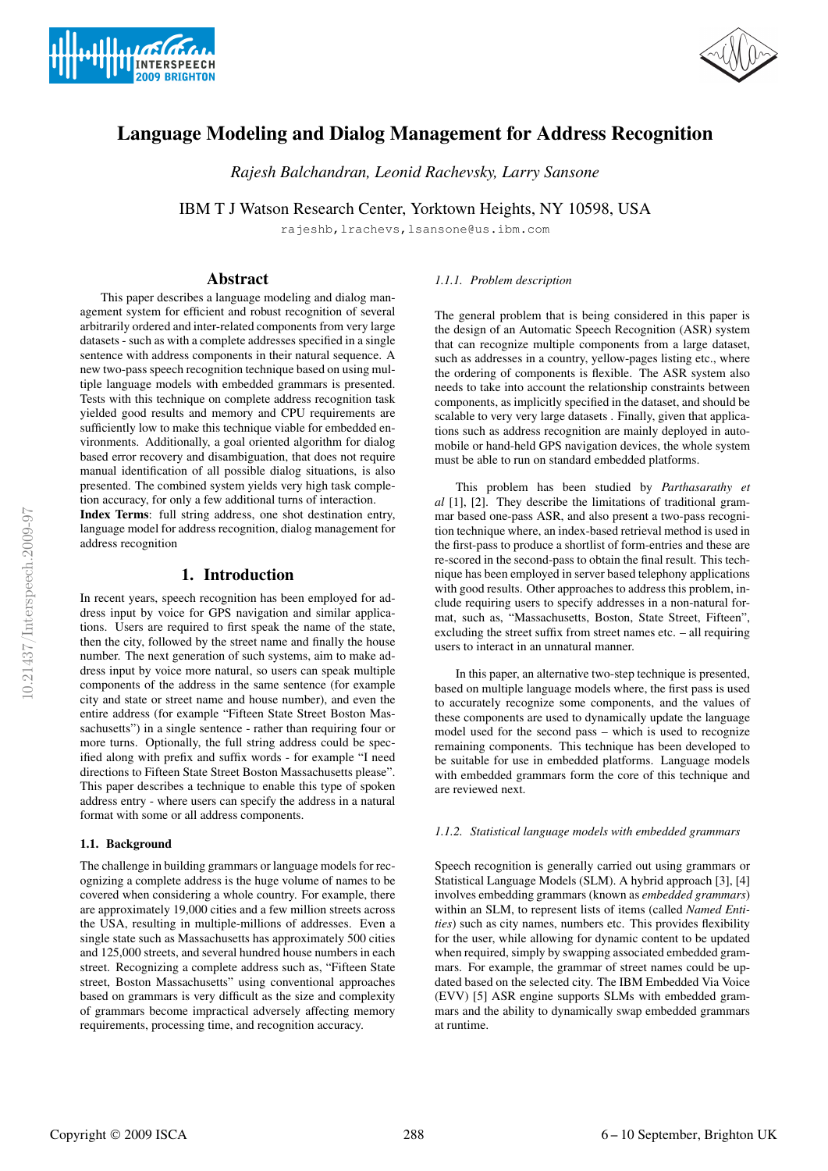



# Language Modeling and Dialog Management for Address Recognition

*Rajesh Balchandran, Leonid Rachevsky, Larry Sansone*

IBM T J Watson Research Center, Yorktown Heights, NY 10598, USA

rajeshb,lrachevs,lsansone@us.ibm.com

# Abstract

This paper describes a language modeling and dialog management system for efficient and robust recognition of several arbitrarily ordered and inter-related components from very large datasets - such as with a complete addresses specified in a single sentence with address components in their natural sequence. A new two-pass speech recognition technique based on using multiple language models with embedded grammars is presented. Tests with this technique on complete address recognition task yielded good results and memory and CPU requirements are sufficiently low to make this technique viable for embedded environments. Additionally, a goal oriented algorithm for dialog based error recovery and disambiguation, that does not require manual identification of all possible dialog situations, is also presented. The combined system yields very high task completion accuracy, for only a few additional turns of interaction.

Index Terms: full string address, one shot destination entry, language model for address recognition, dialog management for address recognition

# 1. Introduction

In recent years, speech recognition has been employed for address input by voice for GPS navigation and similar applications. Users are required to first speak the name of the state, then the city, followed by the street name and finally the house number. The next generation of such systems, aim to make address input by voice more natural, so users can speak multiple components of the address in the same sentence (for example city and state or street name and house number), and even the entire address (for example "Fifteen State Street Boston Massachusetts") in a single sentence - rather than requiring four or more turns. Optionally, the full string address could be specified along with prefix and suffix words - for example "I need directions to Fifteen State Street Boston Massachusetts please". This paper describes a technique to enable this type of spoken address entry - where users can specify the address in a natural format with some or all address components.

## 1.1. Background

The challenge in building grammars or language models for recognizing a complete address is the huge volume of names to be covered when considering a whole country. For example, there are approximately 19,000 cities and a few million streets across the USA, resulting in multiple-millions of addresses. Even a single state such as Massachusetts has approximately 500 cities and 125,000 streets, and several hundred house numbers in each street. Recognizing a complete address such as, "Fifteen State street, Boston Massachusetts" using conventional approaches based on grammars is very difficult as the size and complexity of grammars become impractical adversely affecting memory requirements, processing time, and recognition accuracy.

# *1.1.1. Problem description*

The general problem that is being considered in this paper is the design of an Automatic Speech Recognition (ASR) system that can recognize multiple components from a large dataset, such as addresses in a country, yellow-pages listing etc., where the ordering of components is flexible. The ASR system also needs to take into account the relationship constraints between components, as implicitly specified in the dataset, and should be scalable to very very large datasets . Finally, given that applications such as address recognition are mainly deployed in automobile or hand-held GPS navigation devices, the whole system must be able to run on standard embedded platforms.

This problem has been studied by *Parthasarathy et al* [1], [2]. They describe the limitations of traditional grammar based one-pass ASR, and also present a two-pass recognition technique where, an index-based retrieval method is used in the first-pass to produce a shortlist of form-entries and these are re-scored in the second-pass to obtain the final result. This technique has been employed in server based telephony applications with good results. Other approaches to address this problem, include requiring users to specify addresses in a non-natural format, such as, "Massachusetts, Boston, State Street, Fifteen", excluding the street suffix from street names etc. – all requiring users to interact in an unnatural manner.

In this paper, an alternative two-step technique is presented, based on multiple language models where, the first pass is used to accurately recognize some components, and the values of these components are used to dynamically update the language model used for the second pass – which is used to recognize remaining components. This technique has been developed to be suitable for use in embedded platforms. Language models with embedded grammars form the core of this technique and are reviewed next.

## *1.1.2. Statistical language models with embedded grammars*

Speech recognition is generally carried out using grammars or Statistical Language Models (SLM). A hybrid approach [3], [4] involves embedding grammars (known as *embedded grammars*) within an SLM, to represent lists of items (called *Named Entities*) such as city names, numbers etc. This provides flexibility for the user, while allowing for dynamic content to be updated when required, simply by swapping associated embedded grammars. For example, the grammar of street names could be updated based on the selected city. The IBM Embedded Via Voice (EVV) [5] ASR engine supports SLMs with embedded grammars and the ability to dynamically swap embedded grammars at runtime.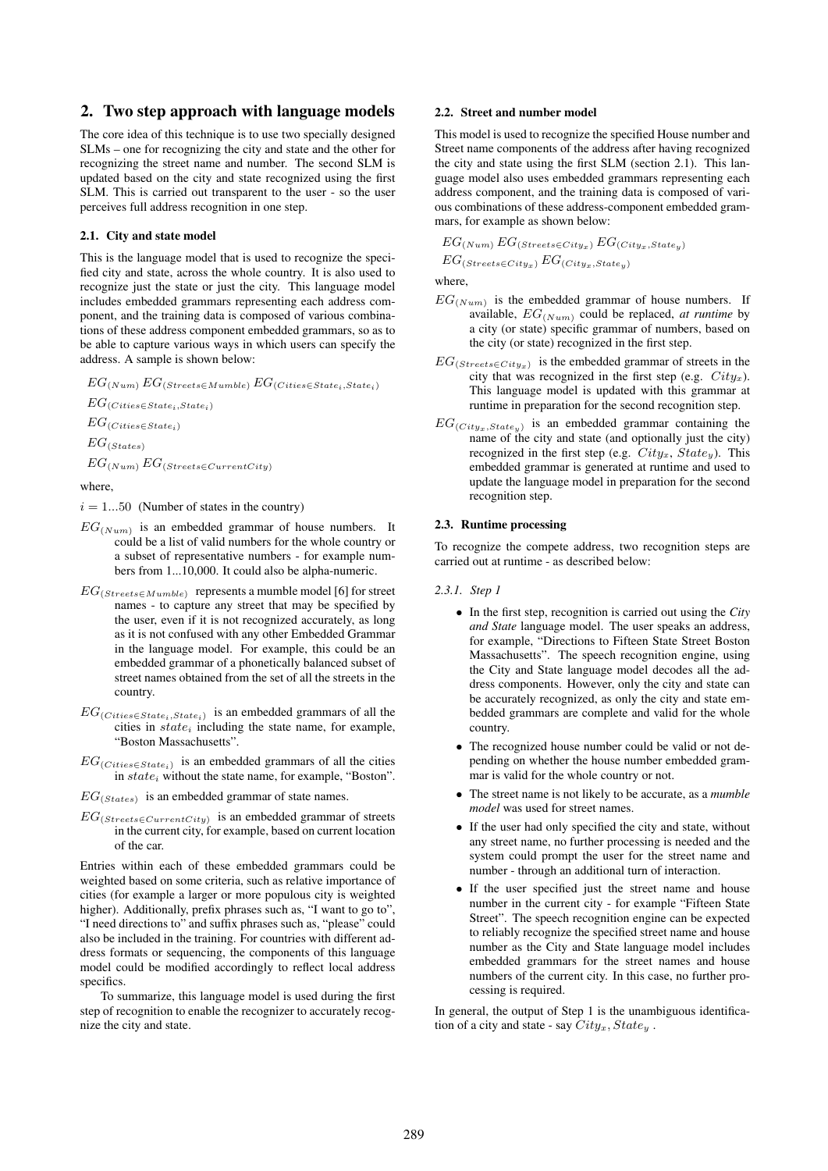# 2. Two step approach with language models

The core idea of this technique is to use two specially designed SLMs – one for recognizing the city and state and the other for recognizing the street name and number. The second SLM is updated based on the city and state recognized using the first SLM. This is carried out transparent to the user - so the user perceives full address recognition in one step.

#### 2.1. City and state model

This is the language model that is used to recognize the specified city and state, across the whole country. It is also used to recognize just the state or just the city. This language model includes embedded grammars representing each address component, and the training data is composed of various combinations of these address component embedded grammars, so as to be able to capture various ways in which users can specify the address. A sample is shown below:

 $EG_{(Num)} EG_{(Streets \in Mumble)} EG_{(Cities \in State_i, State_i)}$  $EG_{(Cities \in State_i, State_i)}$  $EG_{(Cities \in State_i)}$  $EG_{(States)}$  $EG_{(Num)} EG_{(Streets \in CurrentCity)}$ 

where,

 $i = 1...50$  (Number of states in the country)

- $EG_{(Num)}$  is an embedded grammar of house numbers. It could be a list of valid numbers for the whole country or a subset of representative numbers - for example numbers from 1...10,000. It could also be alpha-numeric.
- $EG_{(Streets \in Mumble)}$  represents a mumble model [6] for street names - to capture any street that may be specified by the user, even if it is not recognized accurately, as long as it is not confused with any other Embedded Grammar in the language model. For example, this could be an embedded grammar of a phonetically balanced subset of street names obtained from the set of all the streets in the country.
- $EG_{(Cities \in State_i, State_i)}$  is an embedded grammars of all the cities in  $state_i$  including the state name, for example, "Boston Massachusetts".
- $EG_{(Cities \in State_i)}$  is an embedded grammars of all the cities in  $state_i$  without the state name, for example, "Boston".
- $EG_{(States)}$  is an embedded grammar of state names.
- $EG_{(Streets \in CurrentCity)}$  is an embedded grammar of streets in the current city, for example, based on current location of the car.

Entries within each of these embedded grammars could be weighted based on some criteria, such as relative importance of cities (for example a larger or more populous city is weighted higher). Additionally, prefix phrases such as, "I want to go to", "I need directions to" and suffix phrases such as, "please" could also be included in the training. For countries with different address formats or sequencing, the components of this language model could be modified accordingly to reflect local address specifics.

To summarize, this language model is used during the first step of recognition to enable the recognizer to accurately recognize the city and state.

### 2.2. Street and number model

This model is used to recognize the specified House number and Street name components of the address after having recognized the city and state using the first SLM (section 2.1). This language model also uses embedded grammars representing each address component, and the training data is composed of various combinations of these address-component embedded grammars, for example as shown below:

 $EG_{(Num)} EG_{(Streets \in City_x)} EG_{(City_x, State_y)}$ 

 $EG_{(Streets \in City_x)} EG_{(City_x, State_y)}$ 

where,

- $EG_{(Num)}$  is the embedded grammar of house numbers. If available,  $EG_{(Num)}$  could be replaced, *at runtime* by a city (or state) specific grammar of numbers, based on the city (or state) recognized in the first step.
- $EG_{(Streets \in City)}$  is the embedded grammar of streets in the city that was recognized in the first step (e.g.  $City_x$ ). This language model is updated with this grammar at runtime in preparation for the second recognition step.
- $EG_{(City_x, State_y)}$  is an embedded grammar containing the name of the city and state (and optionally just the city) recognized in the first step (e.g.  $City_x$ ,  $State_y$ ). This embedded grammar is generated at runtime and used to update the language model in preparation for the second recognition step.

# 2.3. Runtime processing

To recognize the compete address, two recognition steps are carried out at runtime - as described below:

### *2.3.1. Step 1*

- In the first step, recognition is carried out using the *City and State* language model. The user speaks an address, for example, "Directions to Fifteen State Street Boston Massachusetts". The speech recognition engine, using the City and State language model decodes all the address components. However, only the city and state can be accurately recognized, as only the city and state embedded grammars are complete and valid for the whole country.
- The recognized house number could be valid or not depending on whether the house number embedded grammar is valid for the whole country or not.
- The street name is not likely to be accurate, as a *mumble model* was used for street names.
- If the user had only specified the city and state, without any street name, no further processing is needed and the system could prompt the user for the street name and number - through an additional turn of interaction.
- If the user specified just the street name and house number in the current city - for example "Fifteen State Street". The speech recognition engine can be expected to reliably recognize the specified street name and house number as the City and State language model includes embedded grammars for the street names and house numbers of the current city. In this case, no further processing is required.

In general, the output of Step 1 is the unambiguous identification of a city and state - say  $City_x, State_y$ .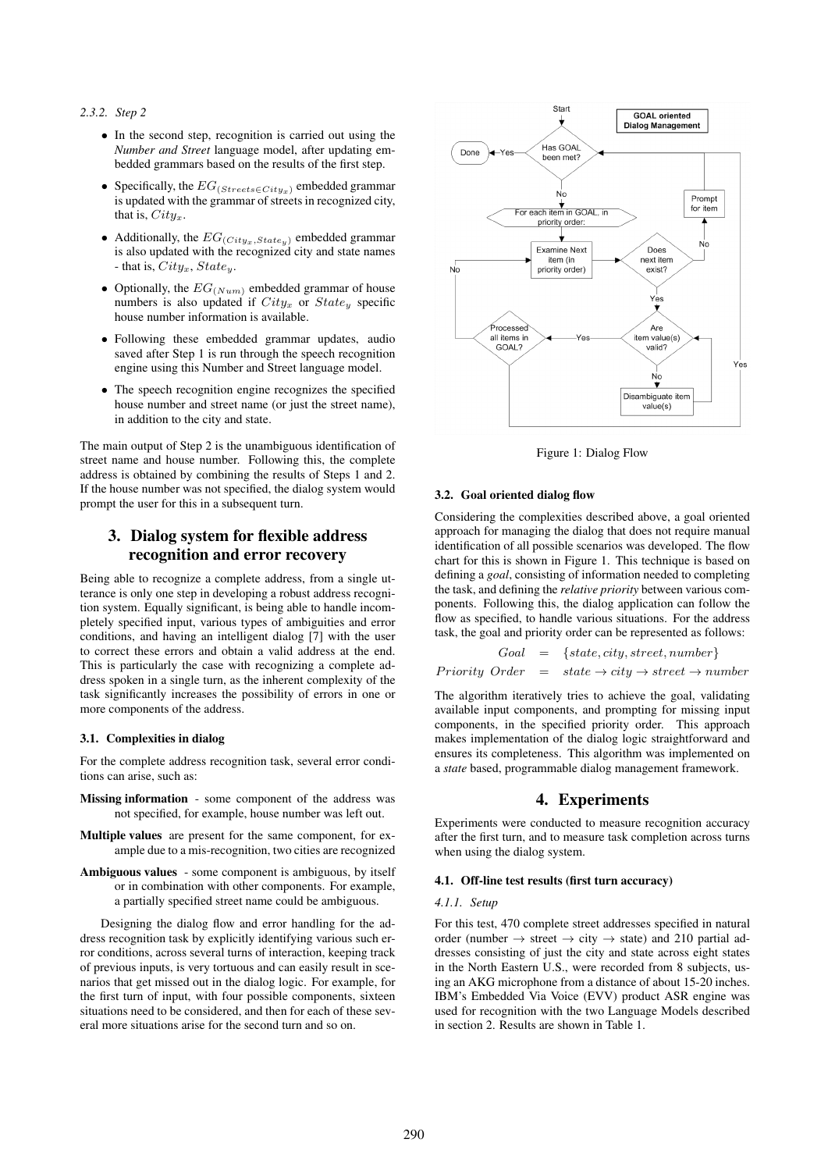# *2.3.2. Step 2*

- In the second step, recognition is carried out using the *Number and Street* language model, after updating embedded grammars based on the results of the first step.
- Specifically, the  $EG_{(Streets \in City)}$  embedded grammar is updated with the grammar of streets in recognized city, that is,  $City_x$ .
- Additionally, the  $EG_{(City_x, State_y)}$  embedded grammar is also updated with the recognized city and state names - that is,  $City_x$ ,  $State_y$ .
- Optionally, the  $EG_{(Num)}$  embedded grammar of house numbers is also updated if  $City_x$  or  $State_y$  specific house number information is available.
- Following these embedded grammar updates, audio saved after Step 1 is run through the speech recognition engine using this Number and Street language model.
- The speech recognition engine recognizes the specified house number and street name (or just the street name), in addition to the city and state.

The main output of Step 2 is the unambiguous identification of street name and house number. Following this, the complete address is obtained by combining the results of Steps 1 and 2. If the house number was not specified, the dialog system would prompt the user for this in a subsequent turn.

# 3. Dialog system for flexible address recognition and error recovery

Being able to recognize a complete address, from a single utterance is only one step in developing a robust address recognition system. Equally significant, is being able to handle incompletely specified input, various types of ambiguities and error conditions, and having an intelligent dialog [7] with the user to correct these errors and obtain a valid address at the end. This is particularly the case with recognizing a complete address spoken in a single turn, as the inherent complexity of the task significantly increases the possibility of errors in one or more components of the address.

#### 3.1. Complexities in dialog

For the complete address recognition task, several error conditions can arise, such as:

- Missing information some component of the address was not specified, for example, house number was left out.
- Multiple values are present for the same component, for example due to a mis-recognition, two cities are recognized
- Ambiguous values some component is ambiguous, by itself or in combination with other components. For example, a partially specified street name could be ambiguous.

Designing the dialog flow and error handling for the address recognition task by explicitly identifying various such error conditions, across several turns of interaction, keeping track of previous inputs, is very tortuous and can easily result in scenarios that get missed out in the dialog logic. For example, for the first turn of input, with four possible components, sixteen situations need to be considered, and then for each of these several more situations arise for the second turn and so on.



Figure 1: Dialog Flow

#### 3.2. Goal oriented dialog flow

Considering the complexities described above, a goal oriented approach for managing the dialog that does not require manual identification of all possible scenarios was developed. The flow chart for this is shown in Figure 1. This technique is based on defining a *goal*, consisting of information needed to completing the task, and defining the *relative priority* between various components. Following this, the dialog application can follow the flow as specified, to handle various situations. For the address task, the goal and priority order can be represented as follows:

$$
Goal = {state, city, street, number}
$$
  

$$
Priority Order = state \rightarrow city \rightarrow street \rightarrow number
$$

The algorithm iteratively tries to achieve the goal, validating available input components, and prompting for missing input components, in the specified priority order. This approach makes implementation of the dialog logic straightforward and ensures its completeness. This algorithm was implemented on a *state* based, programmable dialog management framework.

# 4. Experiments

Experiments were conducted to measure recognition accuracy after the first turn, and to measure task completion across turns when using the dialog system.

#### 4.1. Off-line test results (first turn accuracy)

#### *4.1.1. Setup*

For this test, 470 complete street addresses specified in natural order (number  $\rightarrow$  street  $\rightarrow$  city  $\rightarrow$  state) and 210 partial addresses consisting of just the city and state across eight states in the North Eastern U.S., were recorded from 8 subjects, using an AKG microphone from a distance of about 15-20 inches. IBM's Embedded Via Voice (EVV) product ASR engine was used for recognition with the two Language Models described in section 2. Results are shown in Table 1.